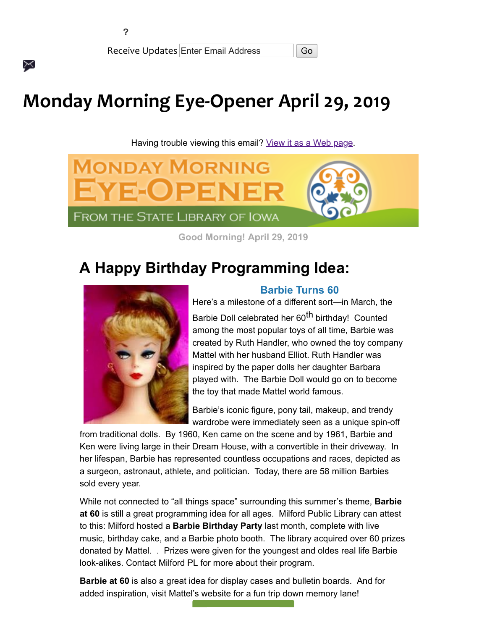$\times$ 

Receive Updates Enter Email Address | Go

# **Monday Morning Eye-Opener April 29, 2019**

Having trouble viewing this email? [View it as a Web page.](https://content.govdelivery.com/accounts/IACIO/bulletins/241a4be)



**Good Morning! April 29, 2019**

## **A Happy Birthday Programming Idea:**



#### **Barbie Turns 60**

Here's a milestone of a different sort—in March, the Barbie Doll celebrated her 60<sup>th</sup> birthday! Counted among the most popular toys of all time, Barbie was created by Ruth Handler, who owned the toy company Mattel with her husband Elliot. Ruth Handler was inspired by the paper dolls her daughter Barbara played with. The Barbie Doll would go on to become the toy that made Mattel world famous.

Barbie's iconic figure, pony tail, makeup, and trendy wardrobe were immediately seen as a unique spin-off

from traditional dolls. By 1960, Ken came on the scene and by 1961, Barbie and Ken were living large in their Dream House, with a convertible in their driveway. In her lifespan, Barbie has represented countless occupations and races, depicted as a surgeon, astronaut, athlete, and politician. Today, there are 58 million Barbies sold every year.

While not connected to "all things space" surrounding this summer's theme, **Barbie at 60** is still a great programming idea for all ages. Milford Public Library can attest to this: Milford hosted a **Barbie Birthday Party** last month, complete with live music, birthday cake, and a Barbie photo booth. The library acquired over 60 prizes donated by Mattel. . Prizes were given for the youngest and oldes real life Barbie look-alikes. Contact Milford PL for more about their program.

**Barbie at 60** is also a great idea for display cases and bulletin boards. And for added inspiration, visit Mattel's website for a fun trip down memory lane!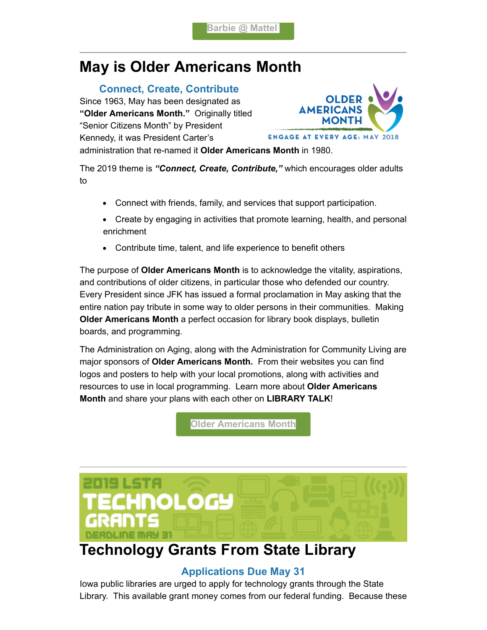# **May is Older Americans Month**

#### **Connect, Create, Contribute**

Since 1963, May has been designated as **"Older Americans Month."** Originally titled "Senior Citizens Month" by President Kennedy, it was President Carter's



administration that re-named it **Older Americans Month** in 1980.

The 2019 theme is *"Connect, Create, Contribute,"* which encourages older adults to

- Connect with friends, family, and services that support participation.
- Create by engaging in activities that promote learning, health, and personal enrichment
- Contribute time, talent, and life experience to benefit others

The purpose of **Older Americans Month** is to acknowledge the vitality, aspirations, and contributions of older citizens, in particular those who defended our country. Every President since JFK has issued a formal proclamation in May asking that the entire nation pay tribute in some way to older persons in their communities. Making **Older Americans Month** a perfect occasion for library book displays, bulletin boards, and programming.

The Administration on Aging, along with the Administration for Community Living are major sponsors of **Older Americans Month.** From their websites you can find logos and posters to help with your local promotions, along with activities and resources to use in local programming. Learn more about **Older Americans Month** and share your plans with each other on **LIBRARY TALK**!

**[Older Americans Month](https://acl.gov/?utm_medium=email&utm_source=govdelivery)**



### **Technology Grants From State Library**

### **Applications Due May 31**

Iowa public libraries are urged to apply for technology grants through the State Library. This available grant money comes from our federal funding. Because these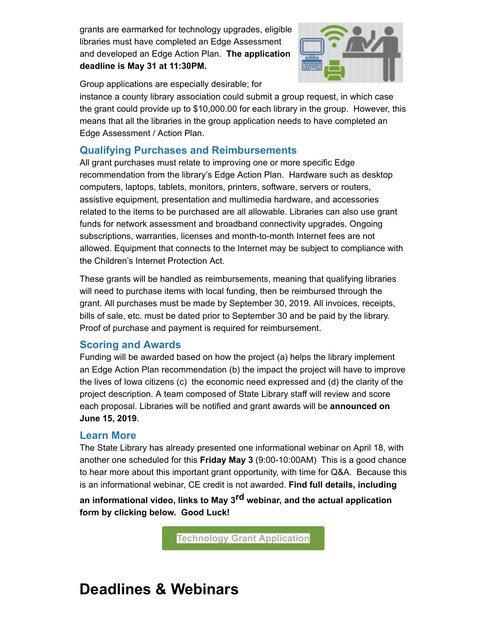grants are earmarked for technology upgrades, eligible libraries must have completed an Edge Assessment and developed an Edge Action Plan. **The application deadline is May 31 at 11:30PM.**



Group applications are especially desirable; for

instance a county library association could submit a group request, in which case the grant could provide up to \$10,000.00 for each library in the group. However, this means that all the libraries in the group application needs to have completed an Edge Assessment / Action Plan.

### **Qualifying Purchases and Reimbursements**

All grant purchases must relate to improving one or more specific Edge recommendation from the library's Edge Action Plan. Hardware such as desktop computers, laptops, tablets, monitors, printers, software, servers or routers, assistive equipment, presentation and multimedia hardware, and accessories related to the items to be purchased are all allowable. Libraries can also use grant funds for network assessment and broadband connectivity upgrades. Ongoing subscriptions, warranties, licenses and month-to-month Internet fees are not allowed. Equipment that connects to the Internet may be subject to compliance with the Children's Internet Protection Act.

These grants will be handled as reimbursements, meaning that qualifying libraries will need to purchase items with local funding, then be reimbursed through the grant. All purchases must be made by September 30, 2019. All invoices, receipts, bills of sale, etc. must be dated prior to September 30 and be paid by the library. Proof of purchase and payment is required for reimbursement.

### **Scoring and Awards**

Funding will be awarded based on how the project (a) helps the library implement an Edge Action Plan recommendation (b) the impact the project will have to improve the lives of Iowa citizens (c) the economic need expressed and (d) the clarity of the project description. A team composed of State Library staff will review and score each proposal. Libraries will be notified and grant awards will be **announced on June 15, 2019**.

### **Learn More**

The State Library has already presented one informational webinar on April 18, with another one scheduled for this **Friday May 3** (9:00-10:00AM) This is a good chance to hear more about this important grant opportunity, with time for Q&A. Because this is an informational webinar, CE credit is not awarded. **Find full details, including**

**an informational video, links to May 3rd webinar, and the actual application form by clicking below. Good Luck!**

**[Technology Grant Application](https://www.statelibraryofiowa.org/ld/t-z/2019-tech-grants?utm_medium=email&utm_source=govdelivery)**

# **Deadlines & Webinars**